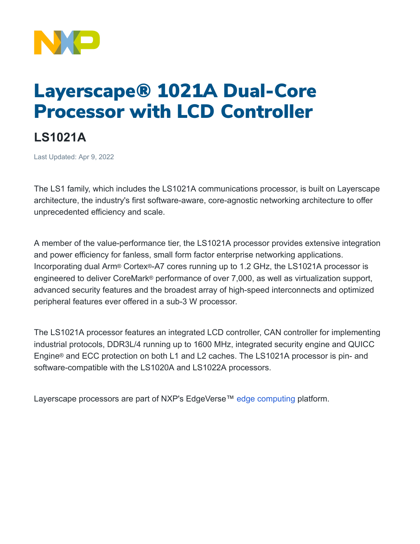

## Layerscape® 1021A Dual-Core Processor with LCD Controller

## **LS1021A**

Last Updated: Apr 9, 2022

The LS1 family, which includes the LS1021A communications processor, is built on Layerscape architecture, the industry's first software-aware, core-agnostic networking architecture to offer unprecedented efficiency and scale.

A member of the value-performance tier, the LS1021A processor provides extensive integration and power efficiency for fanless, small form factor enterprise networking applications. Incorporating dual Arm® Cortex®-A7 cores running up to 1.2 GHz, the LS1021A processor is engineered to deliver CoreMark® performance of over 7,000, as well as virtualization support, advanced security features and the broadest array of high-speed interconnects and optimized peripheral features ever offered in a sub-3 W processor.

The LS1021A processor features an integrated LCD controller, CAN controller for implementing industrial protocols, DDR3L/4 running up to 1600 MHz, integrated security engine and QUICC Engine® and ECC protection on both L1 and L2 caches. The LS1021A processor is pin- and software-compatible with the LS1020A and LS1022A processors.

Layerscape processors are part of NXP's EdgeVerse<sup>™</sup> [edge computing](https://www.nxp.com/applications/enabling-technologies/edge-computing:EDGE-COMPUTING) platform.